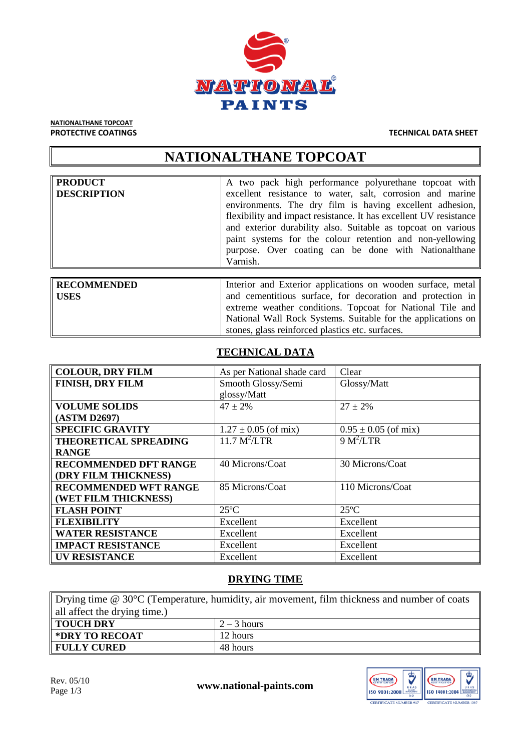

## **NATIONALTHANE TOPCOAT**

#### **PROTECTIVE COATINGS TECHNICAL DATA SHEET**

## **NATIONALTHANE TOPCOAT**

| <b>PRODUCT</b><br><b>DESCRIPTION</b> | A two pack high performance polyurethane topcoat with<br>excellent resistance to water, salt, corrosion and marine<br>environments. The dry film is having excellent adhesion,<br>flexibility and impact resistance. It has excellent UV resistance<br>and exterior durability also. Suitable as topcoat on various<br>paint systems for the colour retention and non-yellowing<br>purpose. Over coating can be done with Nationalthane<br>Varnish. |
|--------------------------------------|-----------------------------------------------------------------------------------------------------------------------------------------------------------------------------------------------------------------------------------------------------------------------------------------------------------------------------------------------------------------------------------------------------------------------------------------------------|
| <b>RECOMMENDED</b>                   | Interior and Exterior applications on wooden surface, metal                                                                                                                                                                                                                                                                                                                                                                                         |
| -----                                |                                                                                                                                                                                                                                                                                                                                                                                                                                                     |

| <b>KECOMMENDED</b> | metrior and Exterior applications on wooden surface, metal   |
|--------------------|--------------------------------------------------------------|
| <b>USES</b>        | and cementitious surface, for decoration and protection in   |
|                    | extreme weather conditions. Topcoat for National Tile and    |
|                    | National Wall Rock Systems. Suitable for the applications on |
|                    | stones, glass reinforced plastics etc. surfaces.             |

## **TECHNICAL DATA**

| <b>COLOUR, DRY FILM</b>      | As per National shade card    | Clear                    |
|------------------------------|-------------------------------|--------------------------|
| <b>FINISH, DRY FILM</b>      | Smooth Glossy/Semi            | Glossy/Matt              |
|                              | glossy/Matt                   |                          |
| <b>VOLUME SOLIDS</b>         | $47 \pm 2\%$                  | $27 \pm 2\%$             |
| (ASTM D2697)                 |                               |                          |
| <b>SPECIFIC GRAVITY</b>      | $1.27 \pm 0.05$ (of mix)      | $0.95 \pm 0.05$ (of mix) |
| <b>THEORETICAL SPREADING</b> | $11.7 \text{ M}^2/\text{LTR}$ | $9 M^2/LTR$              |
| <b>RANGE</b>                 |                               |                          |
| <b>RECOMMENDED DFT RANGE</b> | 40 Microns/Coat               | 30 Microns/Coat          |
| (DRY FILM THICKNESS)         |                               |                          |
| <b>RECOMMENDED WFT RANGE</b> | 85 Microns/Coat               | 110 Microns/Coat         |
| (WET FILM THICKNESS)         |                               |                          |
| <b>FLASH POINT</b>           | $25^{\circ}$ C                | $25^{\circ}$ C           |
| <b>FLEXIBILITY</b>           | Excellent                     | Excellent                |
| <b>WATER RESISTANCE</b>      | Excellent                     | Excellent                |
| <b>IMPACT RESISTANCE</b>     | Excellent                     | Excellent                |
| <b>UV RESISTANCE</b>         | Excellent                     | Excellent                |

## **DRYING TIME**

Drying time @ 30°C (Temperature, humidity, air movement, film thickness and number of coats all affect the drying time.) **TOUCH DRY** 2-3 hours **\*DRY TO RECOAT** 12 hours **FULLY CURED** 48 hours

Page 1/3 **www.national-paints.com**

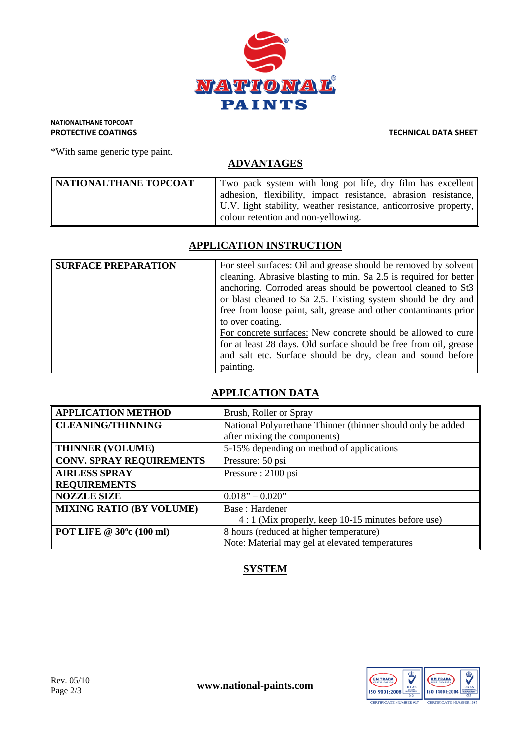

**NATIONALTHANE TOPCOAT**<br>**PROTECTIVE COATINGS** 

**TECHNICAL DATA SHEET** 

\*With same generic type paint.

**ADVANTAGES**

| NATIONALTHANE TOPCOAT | Two pack system with long pot life, dry film has excellent<br>adhesion, flexibility, impact resistance, abrasion resistance, |
|-----------------------|------------------------------------------------------------------------------------------------------------------------------|
|                       | U.V. light stability, weather resistance, anticorrosive property,<br>colour retention and non-yellowing.                     |

#### **APPLICATION INSTRUCTION**

| <b>SURFACE PREPARATION</b> | For steel surfaces: Oil and grease should be removed by solvent   |
|----------------------------|-------------------------------------------------------------------|
|                            | cleaning. Abrasive blasting to min. Sa 2.5 is required for better |
|                            | anchoring. Corroded areas should be powertool cleaned to St3      |
|                            | or blast cleaned to Sa 2.5. Existing system should be dry and     |
|                            | free from loose paint, salt, grease and other contaminants prior  |
|                            | to over coating.                                                  |
|                            | For concrete surfaces: New concrete should be allowed to cure     |
|                            | for at least 28 days. Old surface should be free from oil, grease |
|                            | and salt etc. Surface should be dry, clean and sound before       |
|                            | painting.                                                         |

#### **APPLICATION DATA**

| <b>APPLICATION METHOD</b>       | Brush, Roller or Spray                                      |
|---------------------------------|-------------------------------------------------------------|
| <b>CLEANING/THINNING</b>        | National Polyurethane Thinner (thinner should only be added |
|                                 | after mixing the components)                                |
| <b>THINNER (VOLUME)</b>         | 5-15% depending on method of applications                   |
| <b>CONV. SPRAY REQUIREMENTS</b> | Pressure: 50 psi                                            |
| <b>AIRLESS SPRAY</b>            | Pressure: 2100 psi                                          |
| <b>REQUIREMENTS</b>             |                                                             |
| <b>NOZZLE SIZE</b>              | $0.018" - 0.020"$                                           |
| <b>MIXING RATIO (BY VOLUME)</b> | Base: Hardener                                              |
|                                 | 4 : 1 (Mix properly, keep 10-15 minutes before use)         |
| POT LIFE @ 30°c (100 ml)        | 8 hours (reduced at higher temperature)                     |
|                                 | Note: Material may gel at elevated temperatures             |

## **SYSTEM**